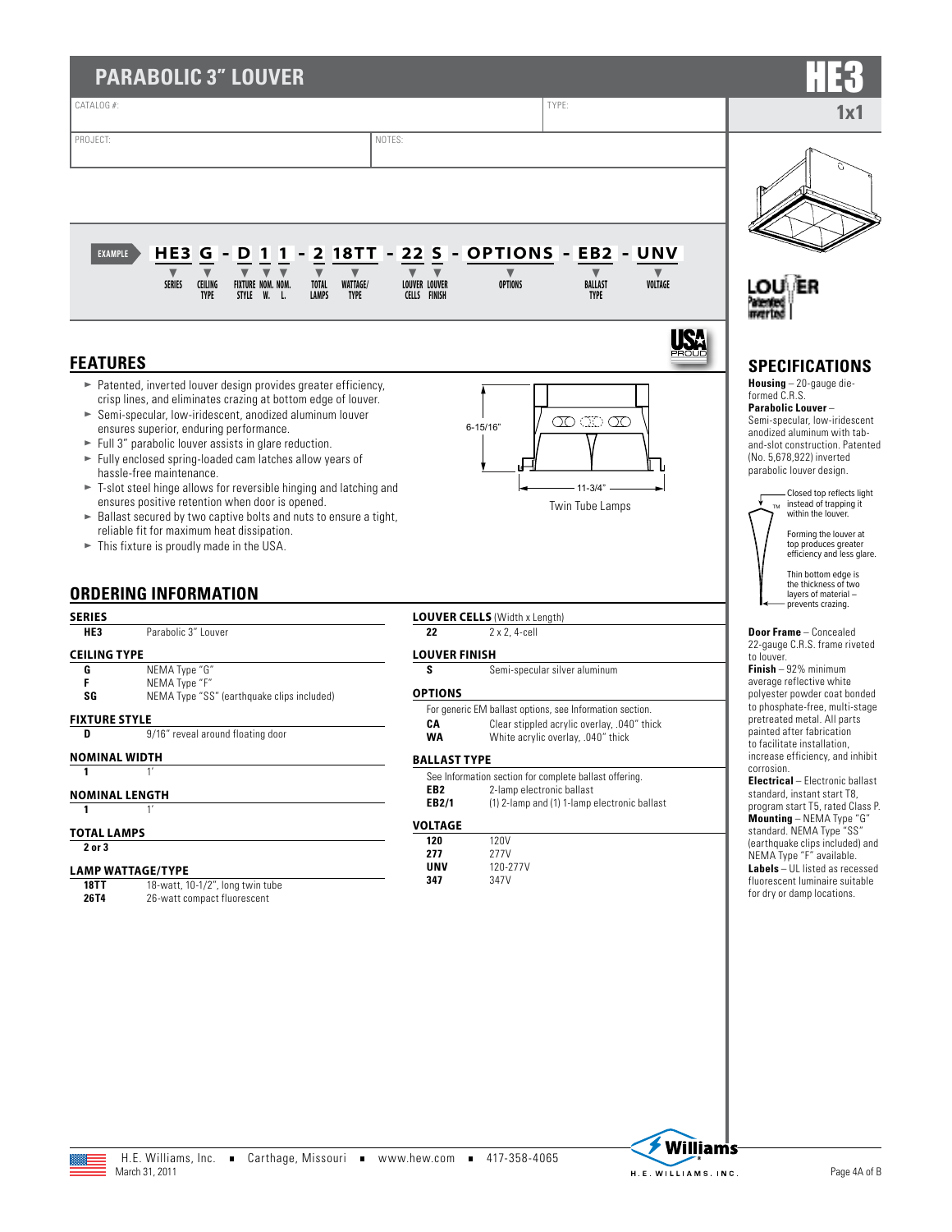| CATALOG #:<br>NOTES:<br>PROJECT:                                                                                                                                                                                                                                                                                                                                                                            |                                             |                                                                                   |                                          |                                                                                                                                                                                                                                          |
|-------------------------------------------------------------------------------------------------------------------------------------------------------------------------------------------------------------------------------------------------------------------------------------------------------------------------------------------------------------------------------------------------------------|---------------------------------------------|-----------------------------------------------------------------------------------|------------------------------------------|------------------------------------------------------------------------------------------------------------------------------------------------------------------------------------------------------------------------------------------|
|                                                                                                                                                                                                                                                                                                                                                                                                             |                                             | TYPE:                                                                             |                                          |                                                                                                                                                                                                                                          |
|                                                                                                                                                                                                                                                                                                                                                                                                             |                                             |                                                                                   |                                          |                                                                                                                                                                                                                                          |
|                                                                                                                                                                                                                                                                                                                                                                                                             |                                             |                                                                                   |                                          |                                                                                                                                                                                                                                          |
|                                                                                                                                                                                                                                                                                                                                                                                                             |                                             |                                                                                   |                                          |                                                                                                                                                                                                                                          |
|                                                                                                                                                                                                                                                                                                                                                                                                             |                                             |                                                                                   |                                          |                                                                                                                                                                                                                                          |
| HE3<br>G<br><b>18TT</b><br>D<br>1<br>2<br><b>EXAMPLE</b><br>$\blacksquare$                                                                                                                                                                                                                                                                                                                                  | 22<br>S                                     | - OPTIONS - EB2 - UNV                                                             |                                          |                                                                                                                                                                                                                                          |
| <b>SERIES</b><br><b>CEILING</b><br>FIXTURE NOM. NOM.<br><b>WATTAGE/</b><br><b>TOTAL</b><br><b>TYPE</b><br>STYLE W. L.<br>LAMPS<br><b>TYPE</b>                                                                                                                                                                                                                                                               | <b>LOUVER LOUVER</b><br><b>CELLS FINISH</b> | $\blacktriangledown$<br><b>OPTIONS</b>                                            | <b>BALLAST</b><br>VOLTAGE<br><b>TYPE</b> | LOU\ ER                                                                                                                                                                                                                                  |
| <b>FEATURES</b>                                                                                                                                                                                                                                                                                                                                                                                             |                                             |                                                                                   |                                          | <b>SPECIFICATIONS</b>                                                                                                                                                                                                                    |
| > Patented, inverted louver design provides greater efficiency,<br>crisp lines, and eliminates crazing at bottom edge of louver.<br>Semi-specular, low-iridescent, anodized aluminum louver<br>ensures superior, enduring performance.<br>$\blacktriangleright$ Full 3" parabolic louver assists in glare reduction.<br>Fully enclosed spring-loaded cam latches allow years of<br>hassle-free maintenance. |                                             | $6 - 15/16"$                                                                      | $\infty$ and $\infty$                    | <b>Housing</b> $-20$ -gauge die-<br>formed C.R.S.<br><b>Parabolic Louver-</b><br>Semi-specular, low-iridescent<br>anodized aluminum with tab-<br>and-slot construction. Patented<br>(No. 5,678,922) inverted<br>parabolic louver design. |
| T-slot steel hinge allows for reversible hinging and latching and<br>ensures positive retention when door is opened.<br>► Ballast secured by two captive bolts and nuts to ensure a tight,<br>reliable fit for maximum heat dissipation.<br>This fixture is proudly made in the USA.                                                                                                                        |                                             |                                                                                   | $11-3/4"$<br>Twin Tube Lamps             | Closed top reflects light<br>instead of trapping it<br>within the louver.<br>Forming the louver at<br>top produces greater<br>efficiency and less glare.                                                                                 |
| <b>ORDERING INFORMATION</b>                                                                                                                                                                                                                                                                                                                                                                                 |                                             |                                                                                   |                                          | Thin bottom edge is<br>the thickness of two<br>layers of material -<br>prevents crazing.                                                                                                                                                 |
| <b>SERIES</b><br>HE3<br>Parabolic 3" Louver                                                                                                                                                                                                                                                                                                                                                                 | 22                                          | <b>LOUVER CELLS (Width x Length)</b><br>2 x 2, 4-cell                             |                                          | <b>Door Frame</b> - Concealed                                                                                                                                                                                                            |
| <b>CEILING TYPE</b>                                                                                                                                                                                                                                                                                                                                                                                         | <b>LOUVER FINISH</b>                        |                                                                                   |                                          | 22-gauge C.R.S. frame riveted<br>to louver.                                                                                                                                                                                              |
| NEMA Type "G"<br>G<br>F<br>NEMA Type "F"                                                                                                                                                                                                                                                                                                                                                                    | s<br><b>OPTIONS</b>                         | Semi-specular silver aluminum                                                     |                                          | $Finish - 92%$ minimum<br>average reflective white                                                                                                                                                                                       |
| SG<br>NEMA Type "SS" (earthquake clips included)<br><b>FIXTURE STYLE</b>                                                                                                                                                                                                                                                                                                                                    |                                             | For generic EM ballast options, see Information section.                          |                                          | polyester powder coat bonded<br>to phosphate-free, multi-stage<br>pretreated metal. All parts                                                                                                                                            |
| 9/16" reveal around floating door<br>D                                                                                                                                                                                                                                                                                                                                                                      | CA<br><b>WA</b>                             | Clear stippled acrylic overlay, .040" thick<br>White acrylic overlay, .040" thick |                                          | painted after fabrication<br>to facilitate installation,                                                                                                                                                                                 |
|                                                                                                                                                                                                                                                                                                                                                                                                             | <b>BALLAST TYPE</b>                         |                                                                                   |                                          | increase efficiency, and inhibit<br>corrosion.                                                                                                                                                                                           |
| <b>NOMINAL WIDTH</b>                                                                                                                                                                                                                                                                                                                                                                                        |                                             | See Information section for complete ballast offering.                            |                                          |                                                                                                                                                                                                                                          |
| 1'<br>1<br><b>NOMINAL LENGTH</b>                                                                                                                                                                                                                                                                                                                                                                            | EB <sub>2</sub>                             | 2-lamp electronic ballast                                                         |                                          | Electrical - Electronic ballast<br>standard, instant start T8,                                                                                                                                                                           |
| 1'<br>$\mathbf{1}$<br><b>TOTAL LAMPS</b>                                                                                                                                                                                                                                                                                                                                                                    | EB2/1<br><b>VOLTAGE</b>                     | (1) 2-lamp and (1) 1-lamp electronic ballast                                      |                                          | program start T5, rated Class P.<br>Mounting - NEMA Type "G"<br>standard. NEMA Type "SS"                                                                                                                                                 |